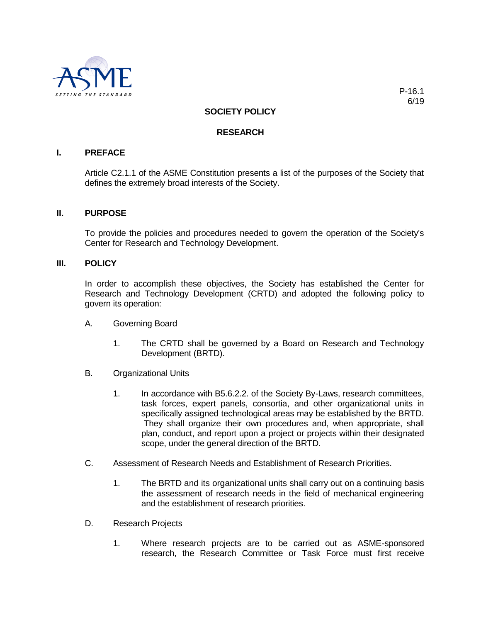

# **SOCIETY POLICY**

## **RESEARCH**

# **I. PREFACE**

Article C2.1.1 of the ASME Constitution presents a list of the purposes of the Society that defines the extremely broad interests of the Society.

### **II. PURPOSE**

To provide the policies and procedures needed to govern the operation of the Society's Center for Research and Technology Development.

#### **III. POLICY**

In order to accomplish these objectives, the Society has established the Center for Research and Technology Development (CRTD) and adopted the following policy to govern its operation:

- A. Governing Board
	- 1. The CRTD shall be governed by a Board on Research and Technology Development (BRTD).
- B. Organizational Units
	- 1. In accordance with B5.6.2.2. of the Society By-Laws, research committees, task forces, expert panels, consortia, and other organizational units in specifically assigned technological areas may be established by the BRTD. They shall organize their own procedures and, when appropriate, shall plan, conduct, and report upon a project or projects within their designated scope, under the general direction of the BRTD.
- C. Assessment of Research Needs and Establishment of Research Priorities.
	- 1. The BRTD and its organizational units shall carry out on a continuing basis the assessment of research needs in the field of mechanical engineering and the establishment of research priorities.
- D. Research Projects
	- 1. Where research projects are to be carried out as ASME-sponsored research, the Research Committee or Task Force must first receive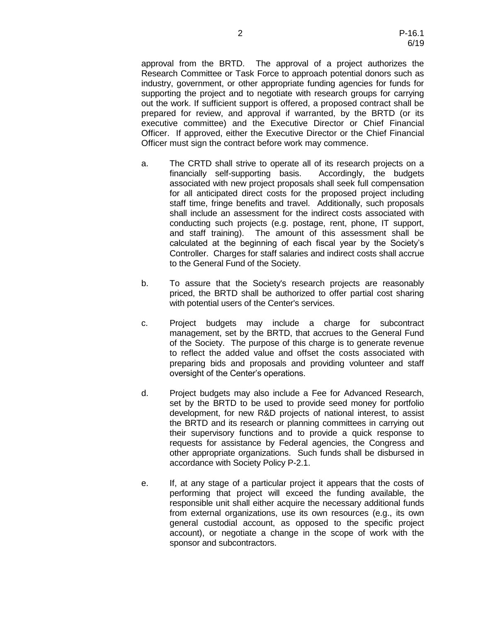approval from the BRTD. The approval of a project authorizes the Research Committee or Task Force to approach potential donors such as industry, government, or other appropriate funding agencies for funds for supporting the project and to negotiate with research groups for carrying out the work. If sufficient support is offered, a proposed contract shall be prepared for review, and approval if warranted, by the BRTD (or its executive committee) and the Executive Director or Chief Financial Officer. If approved, either the Executive Director or the Chief Financial Officer must sign the contract before work may commence.

- a. The CRTD shall strive to operate all of its research projects on a financially self-supporting basis. Accordingly, the budgets associated with new project proposals shall seek full compensation for all anticipated direct costs for the proposed project including staff time, fringe benefits and travel. Additionally, such proposals shall include an assessment for the indirect costs associated with conducting such projects (e.g. postage, rent, phone, IT support, and staff training). The amount of this assessment shall be calculated at the beginning of each fiscal year by the Society's Controller. Charges for staff salaries and indirect costs shall accrue to the General Fund of the Society.
- b. To assure that the Society's research projects are reasonably priced, the BRTD shall be authorized to offer partial cost sharing with potential users of the Center's services.
- c. Project budgets may include a charge for subcontract management, set by the BRTD, that accrues to the General Fund of the Society. The purpose of this charge is to generate revenue to reflect the added value and offset the costs associated with preparing bids and proposals and providing volunteer and staff oversight of the Center's operations.
- d. Project budgets may also include a Fee for Advanced Research, set by the BRTD to be used to provide seed money for portfolio development, for new R&D projects of national interest, to assist the BRTD and its research or planning committees in carrying out their supervisory functions and to provide a quick response to requests for assistance by Federal agencies, the Congress and other appropriate organizations. Such funds shall be disbursed in accordance with Society Policy P-2.1.
- e. If, at any stage of a particular project it appears that the costs of performing that project will exceed the funding available, the responsible unit shall either acquire the necessary additional funds from external organizations, use its own resources (e.g., its own general custodial account, as opposed to the specific project account), or negotiate a change in the scope of work with the sponsor and subcontractors.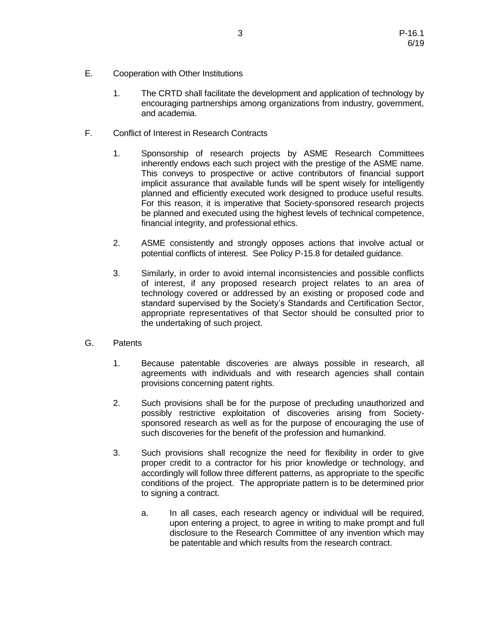- E. Cooperation with Other Institutions
	- 1. The CRTD shall facilitate the development and application of technology by encouraging partnerships among organizations from industry, government, and academia.
- F. Conflict of Interest in Research Contracts
	- 1. Sponsorship of research projects by ASME Research Committees inherently endows each such project with the prestige of the ASME name. This conveys to prospective or active contributors of financial support implicit assurance that available funds will be spent wisely for intelligently planned and efficiently executed work designed to produce useful results. For this reason, it is imperative that Society-sponsored research projects be planned and executed using the highest levels of technical competence, financial integrity, and professional ethics.
	- 2. ASME consistently and strongly opposes actions that involve actual or potential conflicts of interest. See Policy P-15.8 for detailed guidance.
	- 3. Similarly, in order to avoid internal inconsistencies and possible conflicts of interest, if any proposed research project relates to an area of technology covered or addressed by an existing or proposed code and standard supervised by the Society's Standards and Certification Sector, appropriate representatives of that Sector should be consulted prior to the undertaking of such project.
- G. Patents
	- 1. Because patentable discoveries are always possible in research, all agreements with individuals and with research agencies shall contain provisions concerning patent rights.
	- 2. Such provisions shall be for the purpose of precluding unauthorized and possibly restrictive exploitation of discoveries arising from Societysponsored research as well as for the purpose of encouraging the use of such discoveries for the benefit of the profession and humankind.
	- 3. Such provisions shall recognize the need for flexibility in order to give proper credit to a contractor for his prior knowledge or technology, and accordingly will follow three different patterns, as appropriate to the specific conditions of the project. The appropriate pattern is to be determined prior to signing a contract.
		- a. In all cases, each research agency or individual will be required, upon entering a project, to agree in writing to make prompt and full disclosure to the Research Committee of any invention which may be patentable and which results from the research contract.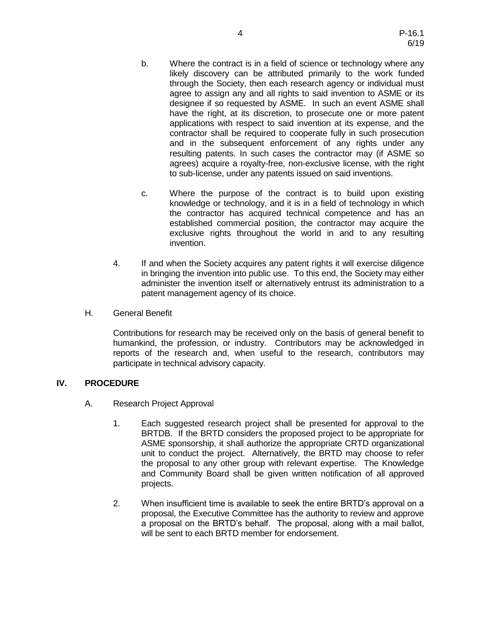- b. Where the contract is in a field of science or technology where any likely discovery can be attributed primarily to the work funded through the Society, then each research agency or individual must agree to assign any and all rights to said invention to ASME or its designee if so requested by ASME. In such an event ASME shall have the right, at its discretion, to prosecute one or more patent applications with respect to said invention at its expense, and the contractor shall be required to cooperate fully in such prosecution and in the subsequent enforcement of any rights under any resulting patents. In such cases the contractor may (if ASME so agrees) acquire a royalty-free, non-exclusive license, with the right to sub-license, under any patents issued on said inventions.
- c. Where the purpose of the contract is to build upon existing knowledge or technology, and it is in a field of technology in which the contractor has acquired technical competence and has an established commercial position, the contractor may acquire the exclusive rights throughout the world in and to any resulting invention.
- 4. If and when the Society acquires any patent rights it will exercise diligence in bringing the invention into public use. To this end, the Society may either administer the invention itself or alternatively entrust its administration to a patent management agency of its choice.
- H. General Benefit

Contributions for research may be received only on the basis of general benefit to humankind, the profession, or industry. Contributors may be acknowledged in reports of the research and, when useful to the research, contributors may participate in technical advisory capacity.

## **IV. PROCEDURE**

- A. Research Project Approval
	- 1. Each suggested research project shall be presented for approval to the BRTDB. If the BRTD considers the proposed project to be appropriate for ASME sponsorship, it shall authorize the appropriate CRTD organizational unit to conduct the project. Alternatively, the BRTD may choose to refer the proposal to any other group with relevant expertise. The Knowledge and Community Board shall be given written notification of all approved projects.
	- 2. When insufficient time is available to seek the entire BRTD's approval on a proposal, the Executive Committee has the authority to review and approve a proposal on the BRTD's behalf. The proposal, along with a mail ballot, will be sent to each BRTD member for endorsement.